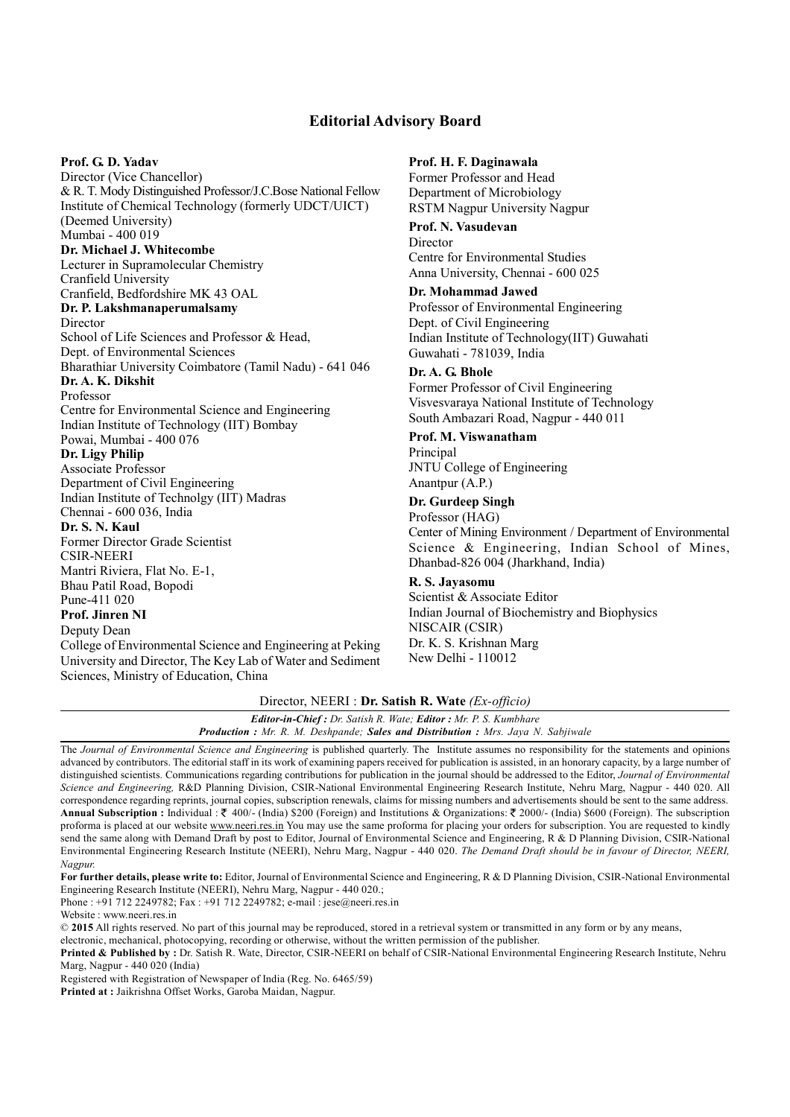## **Editorial Advisory Board**

#### **Prof. G. D. Yadav**

 & R. T. Mody Distinguished Professor/J.C.Bose National Fellow Institute of Chemical Technology (formerly UDCT/UICT) Mumbai - 400 019 Indian Institute of Technolgy (IIT) Madras Director (Vice Chancellor) (Deemed University) **Dr. Michael J. Whitecombe**  Lecturer in Supramolecular Chemistry Cranfield University Cranfield, Bedfordshire MK 43 OAL **Dr. P. Lakshmanaperumalsamy**  Director School of Life Sciences and Professor & Head, Dept. of Environmental Sciences Bharathiar University Coimbatore (Tamil Nadu) - 641 046 **Dr. A. K. Dikshit**  Professor Centre for Environmental Science and Engineering Indian Institute of Technology (IIT) Bombay Powai, Mumbai - 400 076 **Dr. Ligy Philip**  Associate Professor Department of Civil Engineering Chennai - 600 036, India **Dr. S. N. Kaul**  Former Director Grade Scientist CSIR-NEERI Mantri Riviera, Flat No. E-1, Bhau Patil Road, Bopodi Pune-411 020 **Prof. Jinren NI** 

# Deputy Dean

 College of Environmental Science and Engineering at Peking University and Director, The Key Lab of Water and Sediment Sciences, Ministry of Education, China

#### **Prof. H. F. Daginawala**

Former Professor and Head Department of Microbiology RSTM Nagpur University Nagpur

## **Prof. N. Vasudevan**  Director

Centre for Environmental Studies Anna University, Chennai - 600 025

## **Dr. Mohammad Jawed**

Professor of Environmental Engineering Dept. of Civil Engineering Indian Institute of Technology(IIT) Guwahati Guwahati - 781039, India

#### **Dr. A. G. Bhole**

 Former Professor of Civil Engineering Visvesvaraya National Institute of Technology South Ambazari Road, Nagpur - 440 011

#### **Prof. M. Viswanatham**

 JNTU College of Engineering Principal Anantpur (A.P.)

#### **Dr. Gurdeep Singh**

 Center of Mining Environment / Department of Environmental Science & Engineering, Indian School of Mines, Professor (HAG) Dhanbad-826 004 (Jharkhand, India)

## **R. S. Jayasomu**

 Dr. K. S. Krishnan Marg Scientist & Associate Editor Indian Journal of Biochemistry and Biophysics NISCAIR (CSIR) New Delhi - 110012

## Director, NEERI : **Dr. Satish R. Wate** *(Ex-officio)*

| <b>Editor-in-Chief:</b> Dr. Satish R. Wate; <b>Editor:</b> Mr. P. S. Kumbhare                   |  |
|-------------------------------------------------------------------------------------------------|--|
| <b>Production :</b> Mr. R. M. Deshpande; <b>Sales and Distribution :</b> Mrs. Jaya N. Sabjiwale |  |

 The *Journal of Environmental Science and Engineering* is published quarterly. The Institute assumes no responsibility for the statements and opinions advanced by contributors. The editorial staff in its work of examining papers received for publication is assisted, in an honorary capacity, by a large number of distinguished scientists. Communications regarding contributions for publication in the journal should be addressed to the Editor, *Journal of Environmental Science and Engineering,* R&D Planning Division, CSIR-National Environmental Engineering Research Institute, Nehru Marg, Nagpur - 440 020. All correspondence regarding reprints, journal copies, subscription renewals, claims for missing numbers and advertisements should be sent to the same address. **Annual Subscription :** Individual : 400/- (India) \$200 (Foreign) and Institutions & Organizations: 2000/- (India) \$600 (Foreign). The subscription proforma is placed at our website www.neeri.res.in You may use the same proforma for placing your orders for subscription. You are requested to kindly send the same along with Demand Draft by post to Editor, Journal of Environmental Science and Engineering, R & D Planning Division, CSIR-National Environmental Engineering Research Institute (NEERI), Nehru Marg, Nagpur - 440 020. *The Demand Draft should be in favour of Director, NEERI, Nagpur.* 

 **For further details, please write to:** Editor, Journal of Environmental Science and Engineering, R & D Planning Division, CSIR-National Environmental Engineering Research Institute (NEERI), Nehru Marg, Nagpur - 440 020.;

Phone : +91 712 2249782; Fax : +91 712 2249782; e-mail : jese@neeri.res.in

Website : www.neeri.res.in.

© **2015** All rights reserved. No part of this journal may be reproduced, stored in a retrieval system or transmitted in any form or by any means,

electronic, mechanical, photocopying, recording or otherwise, without the written permission of the publisher.

 **Printed & Published by :** Dr. Satish R. Wate, Director, CSIR-NEERI on behalf of CSIR-National Environmental Engineering Research Institute, Nehru Marg, Nagpur - 440 020 (India)

Registered with Registration of Newspaper of India (Reg. No. 6465/59)

**Printed at :** Jaikrishna Offset Works, Garoba Maidan, Nagpur.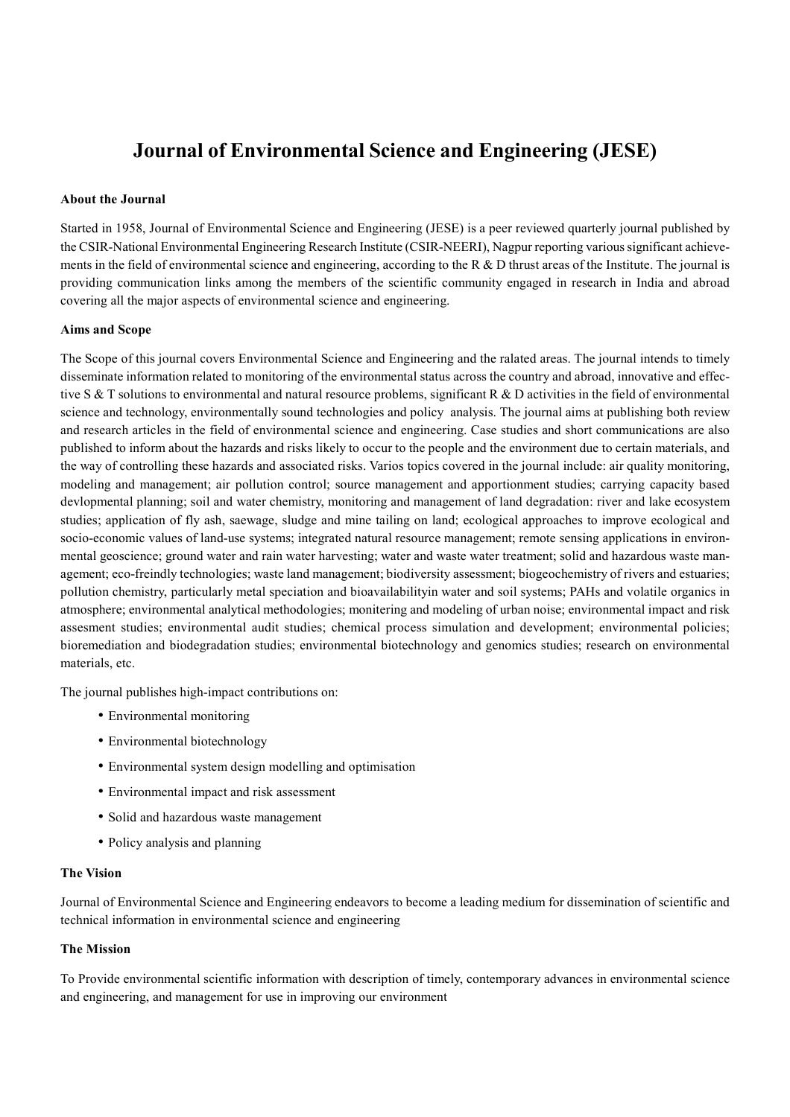# **Journal of Environmental Science and Engineering (JESE)**

#### **About the Journal**

 Started in 1958, Journal of Environmental Science and Engineering (JESE) is a peer reviewed quarterly journal published by the CSIR-National Environmental Engineering Research Institute (CSIR-NEERI), Nagpur reporting various significant achievements in the field of environmental science and engineering, according to the R  $\&$  D thrust areas of the Institute. The journal is providing communication links among the members of the scientific community engaged in research in India and abroad covering all the major aspects of environmental science and engineering.

#### **Aims and Scope**

 The Scope of this journal covers Environmental Science and Engineering and the ralated areas. The journal intends to timely disseminate information related to monitoring of the environmental status across the country and abroad, innovative and effective S & T solutions to environmental and natural resource problems, significant R & D activities in the field of environmental science and technology, environmentally sound technologies and policy analysis. The journal aims at publishing both review and research articles in the field of environmental science and engineering. Case studies and short communications are also published to inform about the hazards and risks likely to occur to the people and the environment due to certain materials, and the way of controlling these hazards and associated risks. Varios topics covered in the journal include: air quality monitoring, modeling and management; air pollution control; source management and apportionment studies; carrying capacity based devlopmental planning; soil and water chemistry, monitoring and management of land degradation: river and lake ecosystem studies; application of fly ash, saewage, sludge and mine tailing on land; ecological approaches to improve ecological and mental geoscience; ground water and rain water harvesting; water and waste water treatment; solid and hazardous waste man- agement; eco-freindly technologies; waste land management; biodiversity assessment; biogeochemistry of rivers and estuaries; pollution chemistry, particularly metal speciation and bioavailabilityin water and soil systems; PAHs and volatile organics in atmosphere; environmental analytical methodologies; monitering and modeling of urban noise; environmental impact and risk assesment studies; environmental audit studies; chemical process simulation and development; environmental policies; bioremediation and biodegradation studies; environmental biotechnology and genomics studies; research on environmental socio-economic values of land-use systems; integrated natural resource management; remote sensing applications in environmaterials, etc.

The journal publishes high-impact contributions on:

- Environmental monitoring
- Environmental biotechnology
- Environmental system design modelling and optimisation
- Environmental impact and risk assessment
- Solid and hazardous waste management
- Policy analysis and planning

## **The Vision**

 Journal of Environmental Science and Engineering endeavors to become a leading medium for dissemination of scientific and technical information in environmental science and engineering

#### **The Mission**

 To Provide environmental scientific information with description of timely, contemporary advances in environmental science and engineering, and management for use in improving our environment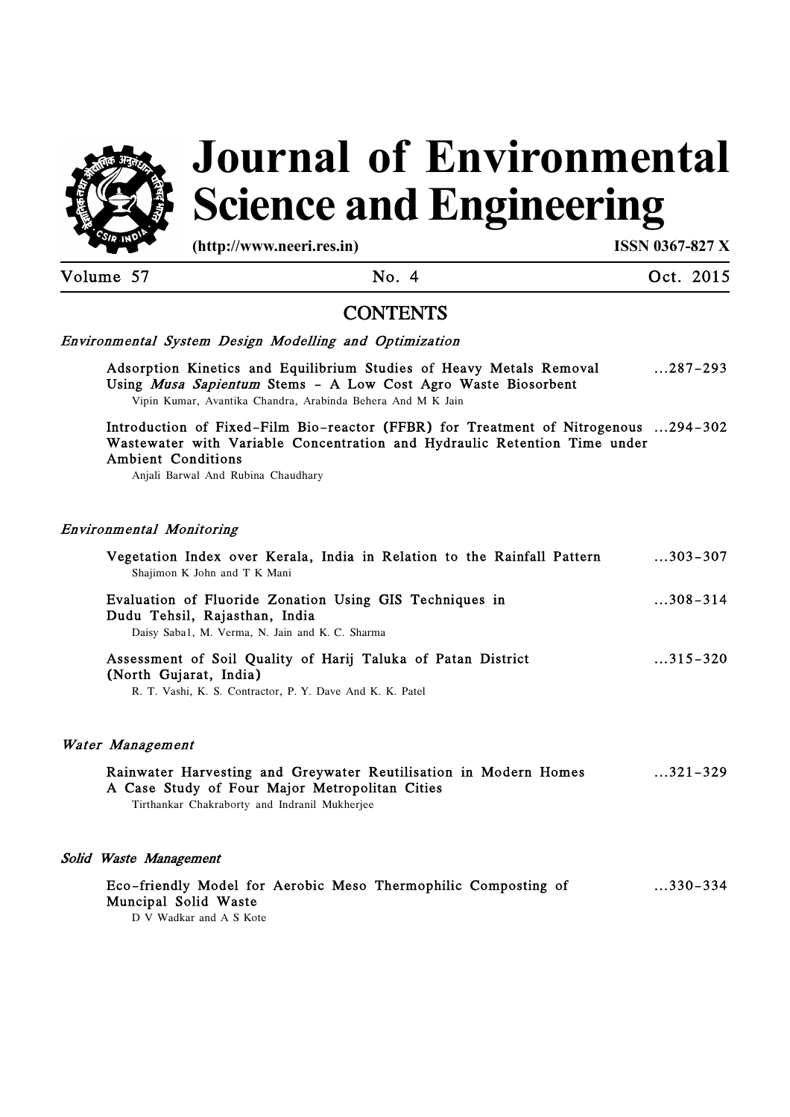

# **Science and Engineering Journal of Environmental**

**(http://www.neeri.res.in) ISSN 0367-827 X** 

Volume 57 No. 4 Oct. 2015

# **CONTENTS**

## Environmental System Design Modelling and Optimization

 Adsorption Kinetics and Equilibrium Studies of Heavy Metals Removal Using *Musa Sapientum* Stems - A Low Cost Agro Waste Biosorbent Vipin Kumar, Avantika Chandra, Arabinda Behera And M K Jain ...287-293

 Introduction of Fixed-Film Bio-reactor (FFBR) for Treatment of Nitrogenous ...294-302 Wastewater with Variable Concentration and Hydraulic Retention Time under Ambient Conditions

Anjali Barwal And Rubina Chaudhary

## Environmental Monitoring

| Vegetation Index over Kerala, India in Relation to the Rainfall Pattern<br>Shajimon K John and T K Mani                                                             | $\dots$ 303–307 |
|---------------------------------------------------------------------------------------------------------------------------------------------------------------------|-----------------|
| Evaluation of Fluoride Zonation Using GIS Techniques in<br>Dudu Tehsil, Rajasthan, India<br>Daisy Saba1, M. Verma, N. Jain and K. C. Sharma                         | $308 - 314$     |
| Assessment of Soil Quality of Harij Taluka of Patan District<br>(North Gujarat, India)<br>R. T. Vashi, K. S. Contractor, P. Y. Dave And K. K. Patel                 | $315 - 320$     |
| Water Management                                                                                                                                                    |                 |
| Rainwater Harvesting and Greywater Reutilisation in Modern Homes<br>A Case Study of Four Major Metropolitan Cities<br>Tirthankar Chakraborty and Indranil Mukherjee | $321 - 329$     |
| Solid Waste Management                                                                                                                                              |                 |

# Eco-friendly Model for Aerobic Meso Thermophilic Composting of ...330-334 Muncipal Solid Waste

D V Wadkar and A S Kote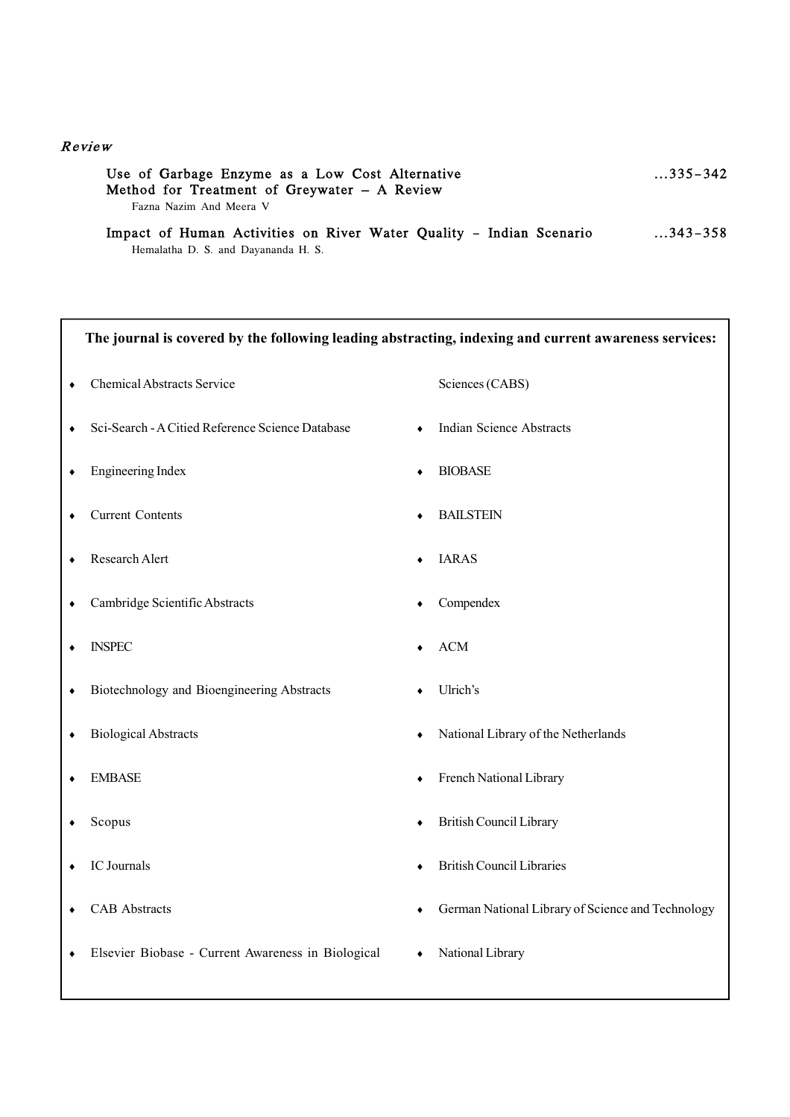## R eview

| Use of Garbage Enzyme as a Low Cost Alternative<br>Method for Treatment of Greywater - A Review | $\dots$ 335–342 |
|-------------------------------------------------------------------------------------------------|-----------------|
| Fazna Nazim And Meera V                                                                         |                 |
| Impact of Human Activities on River Water Quality - Indian Scenario                             | $\dots$ 343–358 |

Hemalatha D. S. and Dayananda H. S.

| The journal is covered by the following leading abstracting, indexing and current awareness services: |                                                    |   |                                                   |
|-------------------------------------------------------------------------------------------------------|----------------------------------------------------|---|---------------------------------------------------|
| ٠                                                                                                     | <b>Chemical Abstracts Service</b>                  |   | Sciences (CABS)                                   |
|                                                                                                       | Sci-Search - A Citied Reference Science Database   |   | <b>Indian Science Abstracts</b>                   |
|                                                                                                       | <b>Engineering Index</b>                           |   | <b>BIOBASE</b>                                    |
|                                                                                                       | <b>Current Contents</b>                            |   | <b>BAILSTEIN</b>                                  |
|                                                                                                       | Research Alert                                     |   | <b>IARAS</b>                                      |
| ٠                                                                                                     | Cambridge Scientific Abstracts                     |   | Compendex                                         |
|                                                                                                       | <b>INSPEC</b>                                      |   | <b>ACM</b>                                        |
| ٠                                                                                                     | Biotechnology and Bioengineering Abstracts         |   | Ulrich's                                          |
| ٠                                                                                                     | <b>Biological Abstracts</b>                        |   | National Library of the Netherlands               |
|                                                                                                       | <b>EMBASE</b>                                      |   | French National Library                           |
|                                                                                                       | Scopus                                             |   | British Council Library                           |
|                                                                                                       | IC Journals                                        |   | <b>British Council Libraries</b>                  |
|                                                                                                       | <b>CAB</b> Abstracts                               | ٠ | German National Library of Science and Technology |
|                                                                                                       | Elsevier Biobase - Current Awareness in Biological | ٠ | National Library                                  |
|                                                                                                       |                                                    |   |                                                   |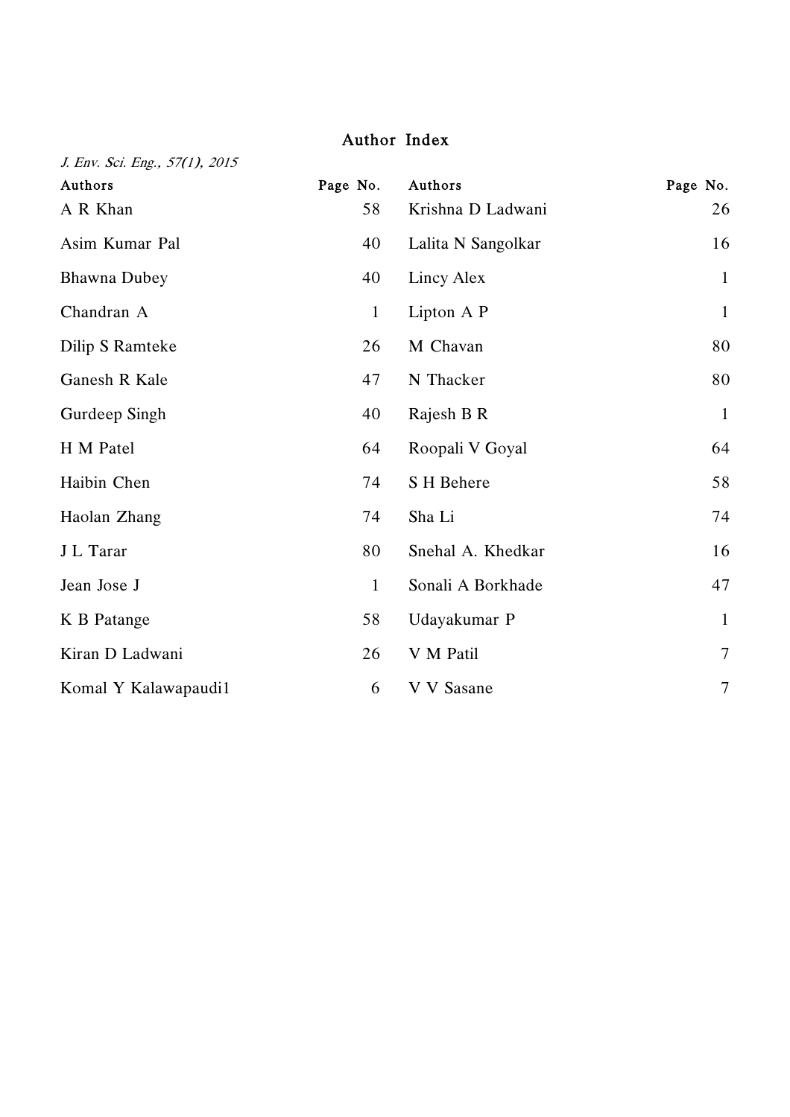# Author Index

| J. Env. Sci. Eng., 57(1), 2015 |              |                    |                |
|--------------------------------|--------------|--------------------|----------------|
| Authors                        | Page No.     | Authors            | Page No.       |
| A R Khan                       | 58           | Krishna D Ladwani  | 26             |
| Asim Kumar Pal                 | 40           | Lalita N Sangolkar | 16             |
| <b>Bhawna Dubey</b>            | 40           | Lincy Alex         | $\mathbf{1}$   |
| Chandran A                     | $\mathbf{1}$ | Lipton A P         | $\mathbf{1}$   |
| Dilip S Ramteke                | 26           | M Chavan           | 80             |
| Ganesh R Kale                  | 47           | N Thacker          | 80             |
| Gurdeep Singh                  | 40           | Rajesh B R         | $\mathbf{1}$   |
| H M Patel                      | 64           | Roopali V Goyal    | 64             |
| Haibin Chen                    | 74           | S H Behere         | 58             |
| Haolan Zhang                   | 74           | Sha Li             | 74             |
| J L Tarar                      | 80           | Snehal A. Khedkar  | 16             |
| Jean Jose J                    | $\mathbf{1}$ | Sonali A Borkhade  | 47             |
| K B Patange                    | 58           | Udayakumar P       | $\mathbf{1}$   |
| Kiran D Ladwani                | 26           | V M Patil          | $\overline{7}$ |
| Komal Y Kalawapaudi1           | 6            | V V Sasane         | $\overline{7}$ |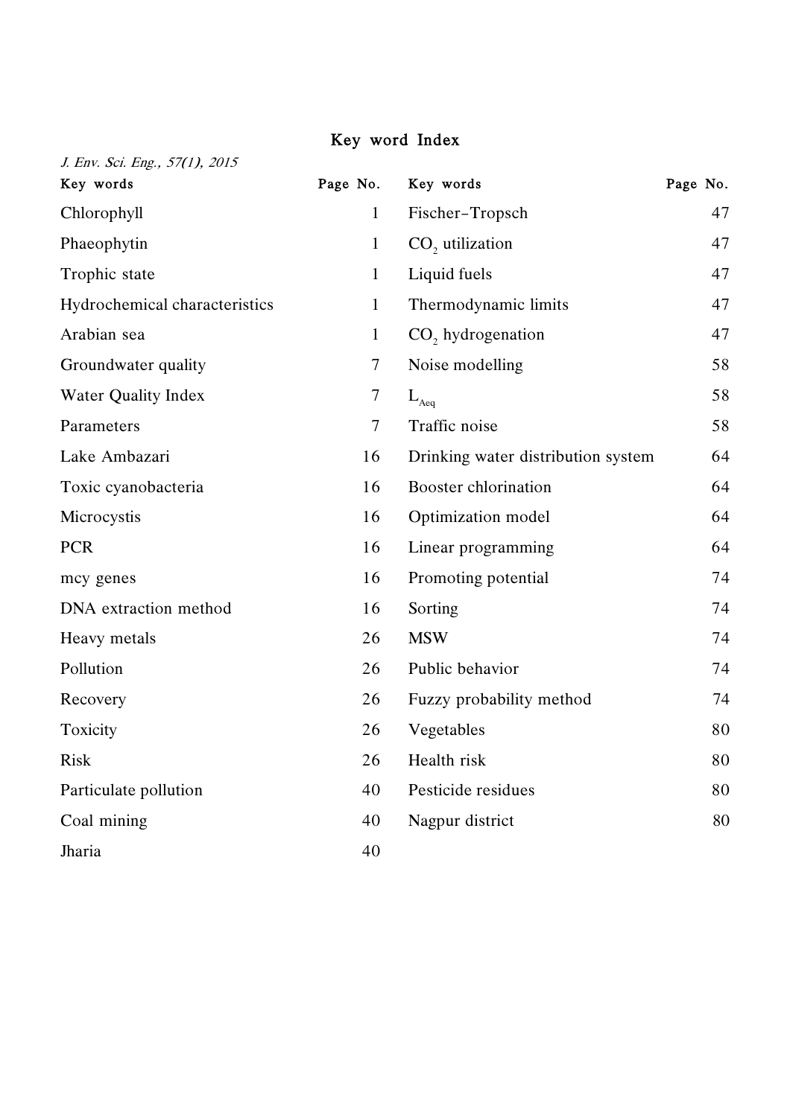## Key word Index

| J. Env. Sci. Eng., 57(1), 2015 |              |                                    |          |
|--------------------------------|--------------|------------------------------------|----------|
| Key words                      | Page No.     | Key words                          | Page No. |
| Chlorophyll                    | $\mathbf{1}$ | Fischer-Tropsch                    | 47       |
| Phaeophytin                    | $\mathbf{1}$ | $CO2$ utilization                  | 47       |
| Trophic state                  | $\mathbf{1}$ | Liquid fuels                       | 47       |
| Hydrochemical characteristics  | $\mathbf{1}$ | Thermodynamic limits               | 47       |
| Arabian sea                    | $\mathbf{1}$ | CO <sub>2</sub> hydrogenation      | 47       |
| Groundwater quality            | 7            | Noise modelling                    | 58       |
| <b>Water Quality Index</b>     | 7            | $\mathcal{L}_{\text{Aeq}}$         | 58       |
| Parameters                     | 7            | Traffic noise                      | 58       |
| Lake Ambazari                  | 16           | Drinking water distribution system | 64       |
| Toxic cyanobacteria            | 16           | Booster chlorination               | 64       |
| Microcystis                    | 16           | Optimization model                 | 64       |
| <b>PCR</b>                     | 16           | Linear programming                 | 64       |
| mcy genes                      | 16           | Promoting potential                | 74       |
| DNA extraction method          | 16           | Sorting                            | 74       |
| Heavy metals                   | 26           | <b>MSW</b>                         | 74       |
| Pollution                      | 26           | Public behavior                    | 74       |
| Recovery                       | 26           | Fuzzy probability method           | 74       |
| Toxicity                       | 26           | Vegetables                         | 80       |
| <b>Risk</b>                    | 26           | Health risk                        | 80       |
| Particulate pollution          | 40           | Pesticide residues                 | 80       |
| Coal mining                    | 40           | Nagpur district                    | 80       |
| Jharia                         | 40           |                                    |          |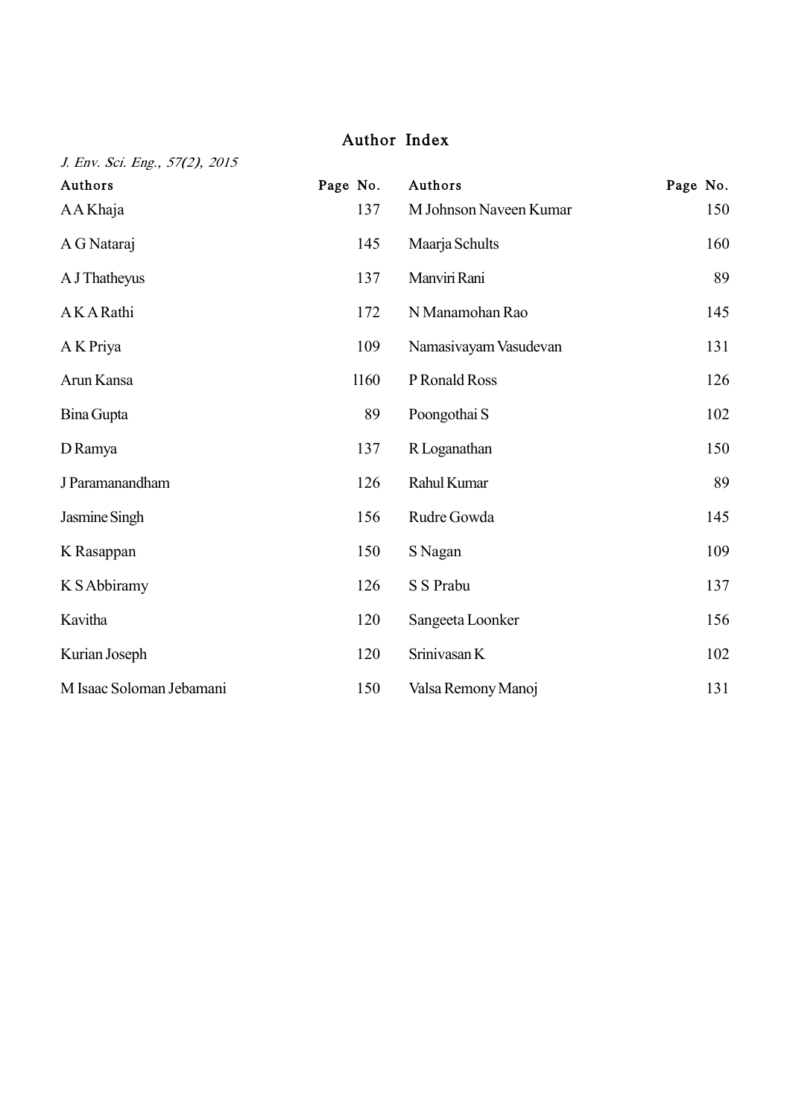# Author Index

J. Env. Sci. Eng., 57(2), 2015

| Authors                  | Page No. | Authors                | Page No. |
|--------------------------|----------|------------------------|----------|
| AA Khaja                 | 137      | M Johnson Naveen Kumar | 150      |
| A G Nataraj              | 145      | Maarja Schults         | 160      |
| A J Thatheyus            | 137      | Manviri Rani           | 89       |
| AKARathi                 | 172      | N Manamohan Rao        | 145      |
| A K Priya                | 109      | Namasiyayam Vasudevan  | 131      |
| Arun Kansa               | 1160     | P Ronald Ross          | 126      |
| Bina Gupta               | 89       | Poongothai S           | 102      |
| D Ramya                  | 137      | R Loganathan           | 150      |
| J Paramanandham          | 126      | Rahul Kumar            | 89       |
| Jasmine Singh            | 156      | Rudre Gowda            | 145      |
| K Rasappan               | 150      | S Nagan                | 109      |
| K S Abbiramy             | 126      | S S Prabu              | 137      |
| Kavitha                  | 120      | Sangeeta Loonker       | 156      |
| Kurian Joseph            | 120      | Srinivasan K           | 102      |
| M Isaac Soloman Jebamani | 150      | Valsa Remony Manoj     | 131      |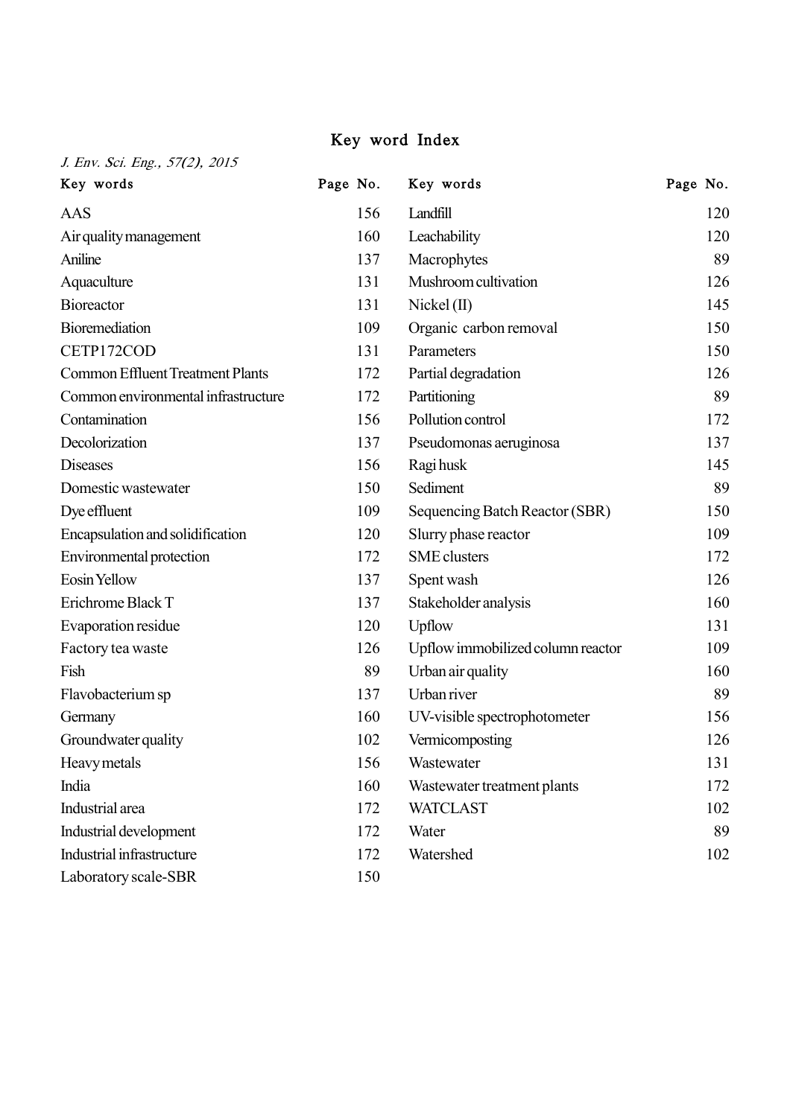## Key word Index

| Key words                               | Page No. | Key words                         | Page No. |
|-----------------------------------------|----------|-----------------------------------|----------|
| AAS                                     | 156      | Landfill                          | 120      |
| Air quality management                  | 160      | Leachability                      | 120      |
| Aniline                                 | 137      | Macrophytes                       | 89       |
| Aquaculture                             | 131      | Mushroom cultivation              | 126      |
| <b>Bioreactor</b>                       | 131      | $Nickel$ (II)                     | 145      |
| Bioremediation                          | 109      | Organic carbon removal            | 150      |
| CETP172COD                              | 131      | Parameters                        | 150      |
| <b>Common Effluent Treatment Plants</b> | 172      | Partial degradation               | 126      |
| Common environmental infrastructure     | 172      | Partitioning                      | 89       |
| Contamination                           | 156      | Pollution control                 | 172      |
| Decolorization                          | 137      | Pseudomonas aeruginosa            | 137      |
| <b>Diseases</b>                         | 156      | Ragi husk                         | 145      |
| Domestic wastewater                     | 150      | Sediment                          | 89       |
| Dye effluent                            | 109      | Sequencing Batch Reactor (SBR)    | 150      |
| Encapsulation and solidification        | 120      | Slurry phase reactor              | 109      |
| Environmental protection                | 172      | <b>SME</b> clusters               | 172      |
| Eosin Yellow                            | 137      | Spent wash                        | 126      |
| Erichrome Black T                       | 137      | Stakeholder analysis              | 160      |
| Evaporation residue                     | 120      | Upflow                            | 131      |
| Factory tea waste                       | 126      | Upflow immobilized column reactor | 109      |
| Fish                                    | 89       | Urban air quality                 | 160      |
| Flavobacterium sp                       | 137      | Urban river                       | 89       |
| Germany                                 | 160      | UV-visible spectrophotometer      | 156      |
| Groundwater quality                     | 102      | Vermicomposting                   | 126      |
| Heavy metals                            | 156      | Wastewater                        | 131      |
| India                                   | 160      | Wastewater treatment plants       | 172      |
| Industrial area                         | 172      | <b>WATCLAST</b>                   | 102      |
| Industrial development                  | 172      | Water                             | 89       |

172

Watershed 102

Industrial development Industrial infrastructure

Laboratory scale-SBR 150

J. Env. Sci. Eng., 57(2), 2015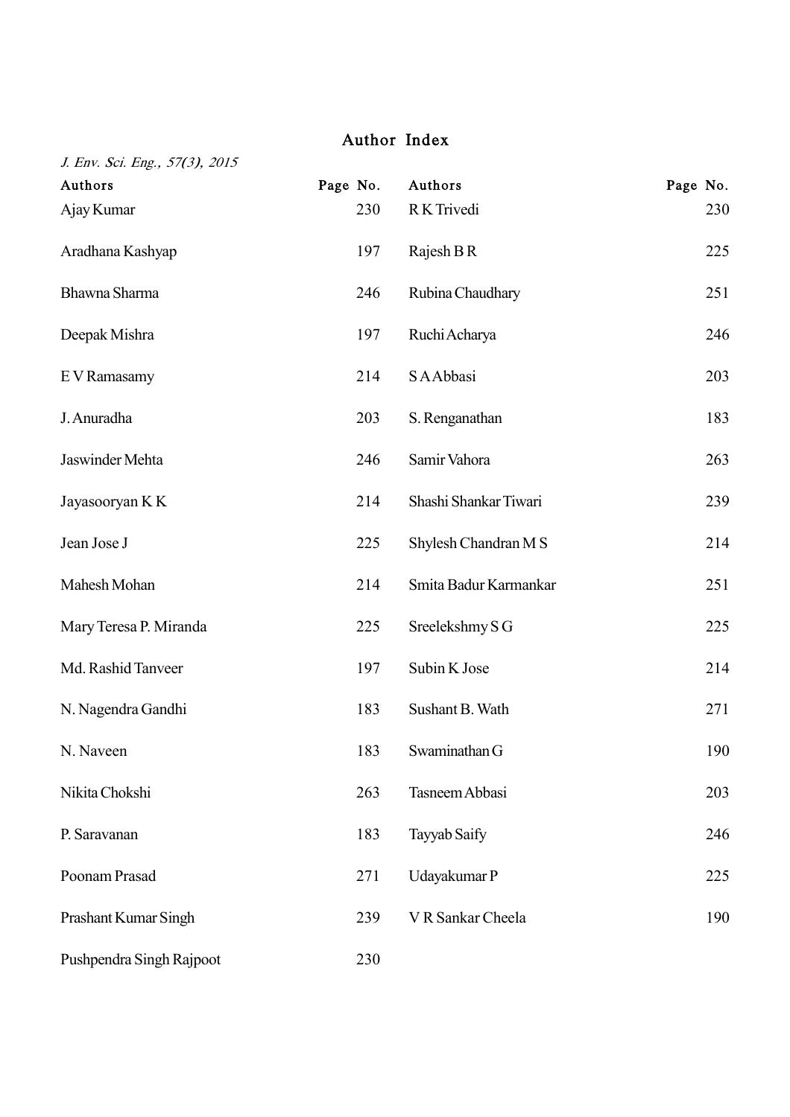# Author Index

| J. Env. Sci. Eng., 57(3), 2015 |          |                       |          |
|--------------------------------|----------|-----------------------|----------|
| Authors                        | Page No. | Authors               | Page No. |
| Ajay Kumar                     | 230      | R K Trivedi           | 230      |
| Aradhana Kashyap               | 197      | Rajesh B R            | 225      |
| Bhawna Sharma                  | 246      | Rubina Chaudhary      | 251      |
| Deepak Mishra                  | 197      | Ruchi Acharya         | 246      |
| E V Ramasamy                   | 214      | S A Abbasi            | 203      |
| J. Anuradha                    | 203      | S. Renganathan        | 183      |
| Jaswinder Mehta                | 246      | Samir Vahora          | 263      |
| Jayasooryan K K                | 214      | Shashi Shankar Tiwari | 239      |
| Jean Jose J                    | 225      | Shylesh Chandran M S  | 214      |
| Mahesh Mohan                   | 214      | Smita Badur Karmankar | 251      |
| Mary Teresa P. Miranda         | 225      | Sreelekshmy S G       | 225      |
| Md. Rashid Tanveer             | 197      | Subin K Jose          | 214      |
| N. Nagendra Gandhi             | 183      | Sushant B. Wath       | 271      |
| N. Naveen                      | 183      | Swaminathan G         | 190      |
| Nikita Chokshi                 | 263      | Tasneem Abbasi        | 203      |
| P. Saravanan                   | 183      | Tayyab Saify          | 246      |
| Poonam Prasad                  | 271      | Udayakumar P          | 225      |
| Prashant Kumar Singh           | 239      | V R Sankar Cheela     | 190      |
| Pushpendra Singh Rajpoot       | 230      |                       |          |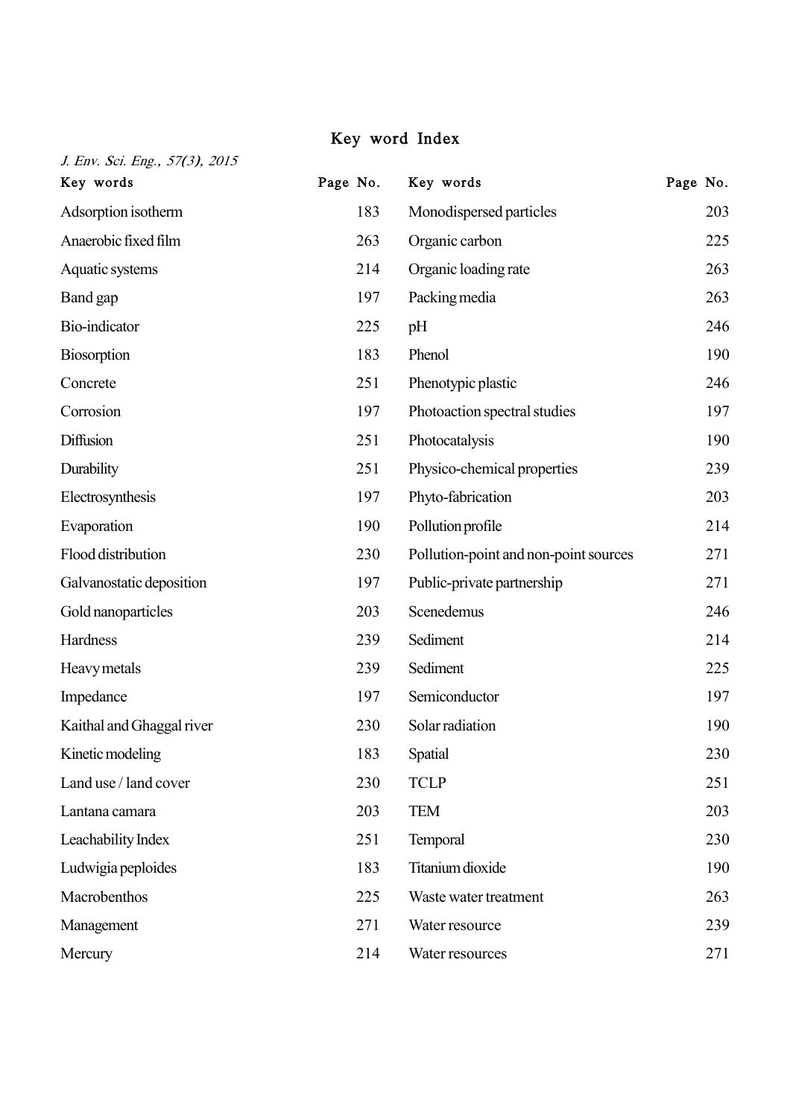## Key word Index

| J. Env. Sci. Eng., 57(3), 2015 | Page No. | Key words                             |          |
|--------------------------------|----------|---------------------------------------|----------|
| Key words                      |          |                                       | Page No. |
| Adsorption isotherm            | 183      | Monodispersed particles               | 203      |
| Anaerobic fixed film           | 263      | Organic carbon                        | 225      |
| Aquatic systems                | 214      | Organic loading rate                  | 263      |
| Band gap                       | 197      | Packing media                         | 263      |
| Bio-indicator                  | 225      | pH                                    | 246      |
| <b>Biosorption</b>             | 183      | Phenol                                | 190      |
| Concrete                       | 251      | Phenotypic plastic                    | 246      |
| Corrosion                      | 197      | Photoaction spectral studies          | 197      |
| Diffusion                      | 251      | Photocatalysis                        | 190      |
| Durability                     | 251      | Physico-chemical properties           | 239      |
| Electrosynthesis               | 197      | Phyto-fabrication                     | 203      |
| Evaporation                    | 190      | Pollution profile                     | 214      |
| Flood distribution             | 230      | Pollution-point and non-point sources | 271      |
| Galvanostatic deposition       | 197      | Public-private partnership            | 271      |
| Gold nanoparticles             | 203      | Scenedemus                            | 246      |
| Hardness                       | 239      | Sediment                              | 214      |
| Heavy metals                   | 239      | Sediment                              | 225      |
| Impedance                      | 197      | Semiconductor                         | 197      |
| Kaithal and Ghaggal river      | 230      | Solar radiation                       | 190      |
| Kinetic modeling               | 183      | <b>Spatial</b>                        | 230      |
| Land use / land cover          | 230      | <b>TCLP</b>                           | 251      |
| Lantana camara                 | 203      | <b>TEM</b>                            | 203      |
| Leachability Index             | 251      | Temporal                              | 230      |
| Ludwigia peploides             | 183      | Titanium dioxide                      | 190      |
| Macrobenthos                   | 225      | Waste water treatment                 | 263      |
| Management                     | 271      | Water resource                        | 239      |
| Mercury                        | 214      | Water resources                       | 271      |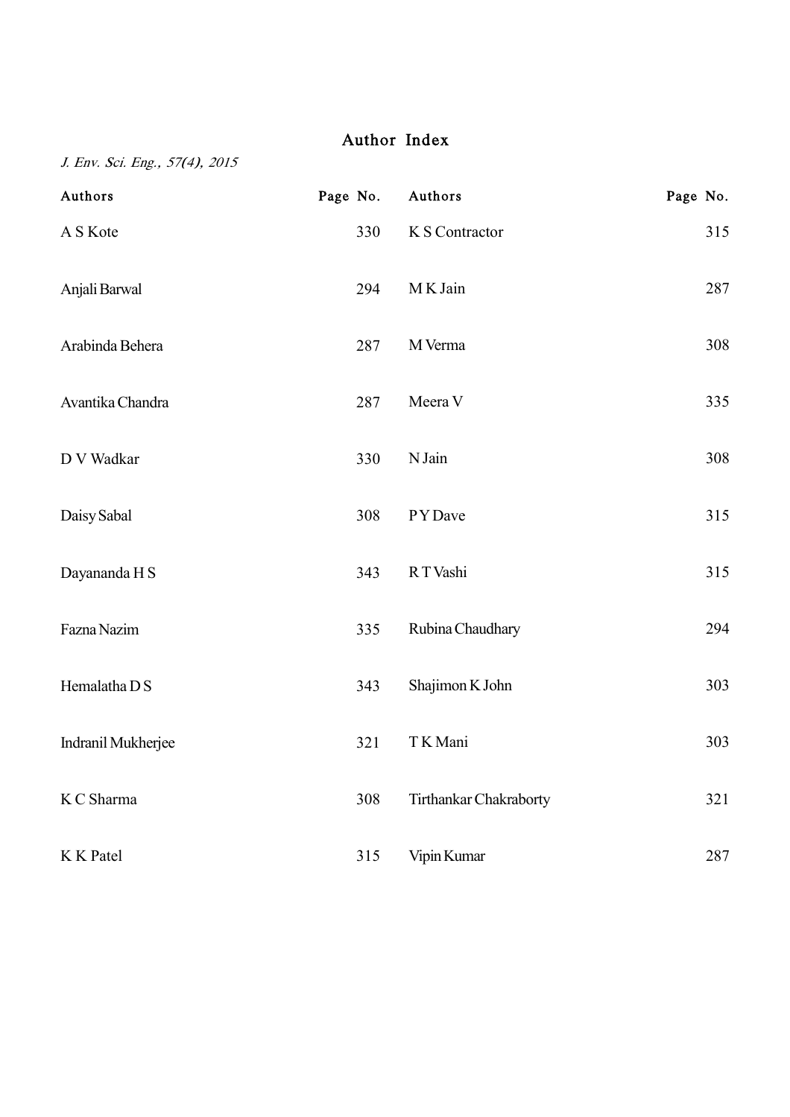# Author Index

J. Env. Sci. Eng., 57(4), 2015

| Authors            | Page No. | Authors                | Page No. |
|--------------------|----------|------------------------|----------|
| A S Kote           | 330      | K S Contractor         | 315      |
| Anjali Barwal      | 294      | M K Jain               | 287      |
| Arabinda Behera    | 287      | M Verma                | 308      |
| Avantika Chandra   | 287      | Meera V                | 335      |
| D V Wadkar         | 330      | N Jain                 | 308      |
| Daisy Sabal        | 308      | PYDave                 | 315      |
| Dayananda H S      | 343      | RT Vashi               | 315      |
| Fazna Nazim        | 335      | Rubina Chaudhary       | 294      |
| Hemalatha D S      | 343      | Shajimon K John        | 303      |
| Indranil Mukherjee | 321      | TK Mani                | 303      |
| K C Sharma         | 308      | Tirthankar Chakraborty | 321      |
| K K Patel          | 315      | Vipin Kumar            | 287      |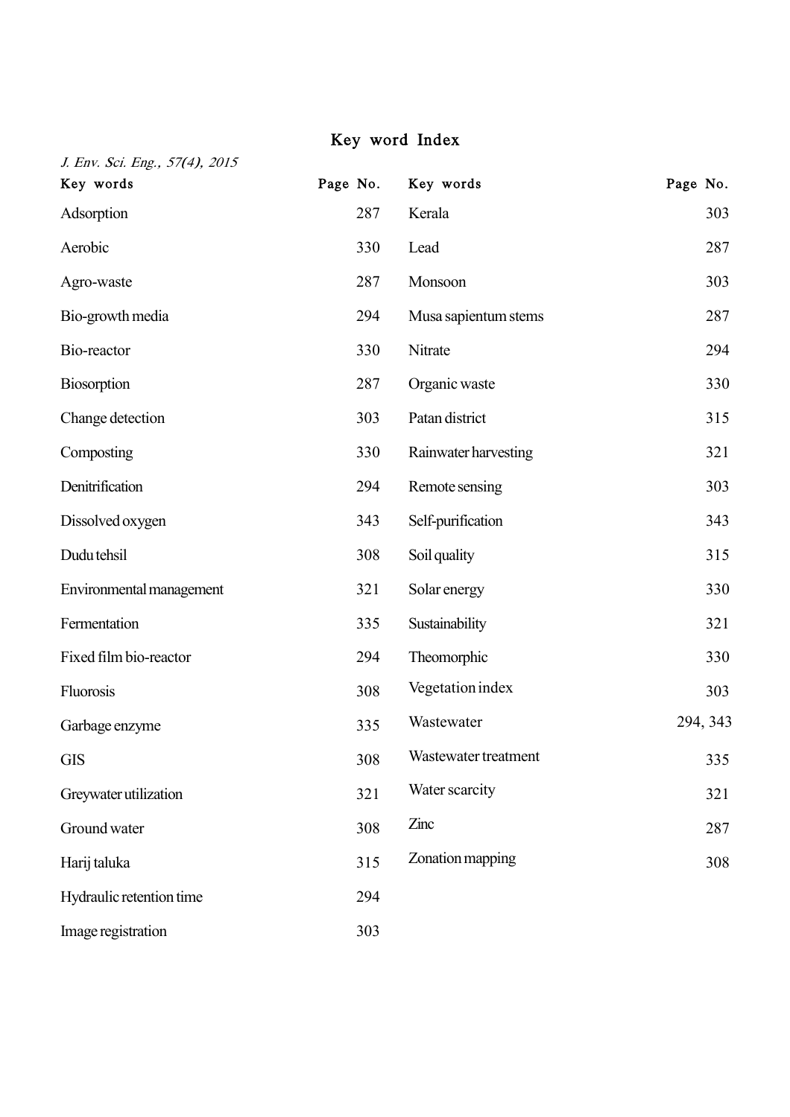## Key word Index

| J. Env. Sci. Eng., 57(4), 2015 |          |                      |          |
|--------------------------------|----------|----------------------|----------|
| Key words                      | Page No. | Key words            | Page No. |
| Adsorption                     | 287      | Kerala               | 303      |
| Aerobic                        | 330      | Lead                 | 287      |
| Agro-waste                     | 287      | Monsoon              | 303      |
| Bio-growth media               | 294      | Musa sapientum stems | 287      |
| Bio-reactor                    | 330      | Nitrate              | 294      |
| <b>Biosorption</b>             | 287      | Organic waste        | 330      |
| Change detection               | 303      | Patan district       | 315      |
| Composting                     | 330      | Rainwater harvesting | 321      |
| Denitrification                | 294      | Remote sensing       | 303      |
| Dissolved oxygen               | 343      | Self-purification    | 343      |
| Dudu tehsil                    | 308      | Soil quality         | 315      |
| Environmental management       | 321      | Solar energy         | 330      |
| Fermentation                   | 335      | Sustainability       | 321      |
| Fixed film bio-reactor         | 294      | Theomorphic          | 330      |
| Fluorosis                      | 308      | Vegetation index     | 303      |
| Garbage enzyme                 | 335      | Wastewater           | 294, 343 |
| <b>GIS</b>                     | 308      | Wastewater treatment | 335      |
| Greywater utilization          | 321      | Water scarcity       | 321      |
| Ground water                   | 308      | Zinc                 | 287      |
| Harij taluka                   | 315      | Zonation mapping     | 308      |
| Hydraulic retention time       | 294      |                      |          |
| Image registration             | 303      |                      |          |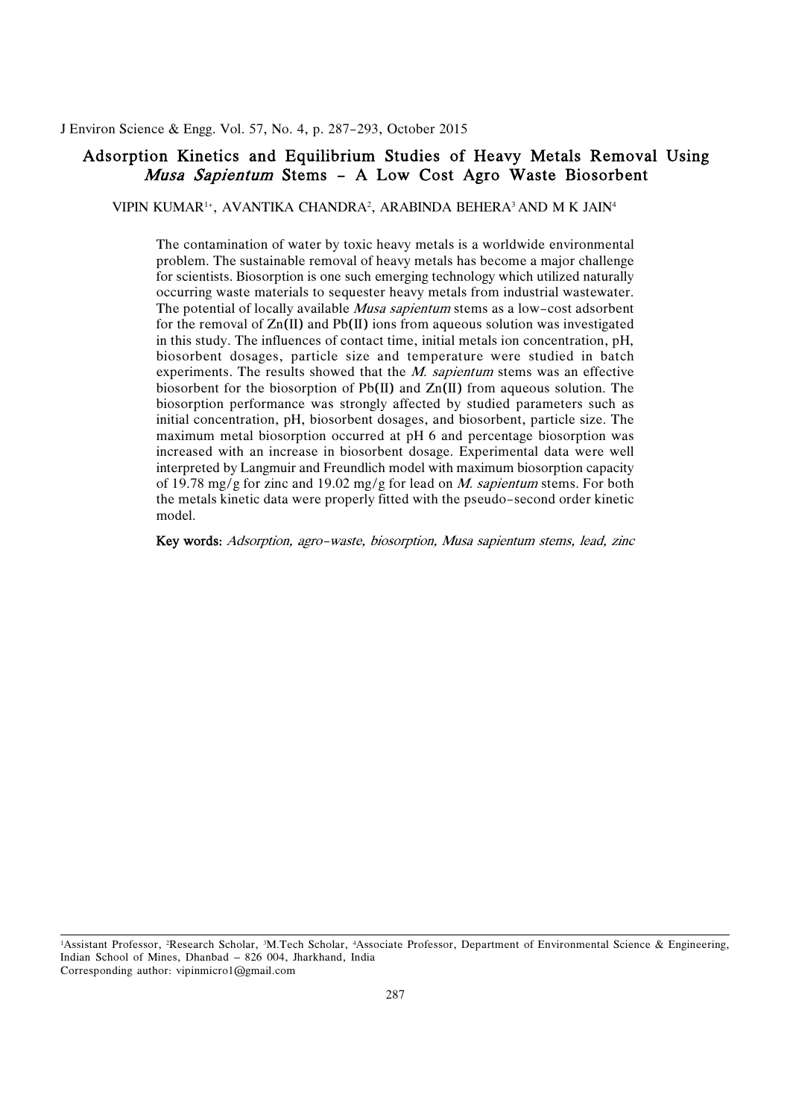<span id="page-12-0"></span>J. Environ Science & Engg. Vol. 57, No. 4, p. 287-293, October 2015

## Adsorption Kinetics and Equilibrium Studies of Heavy Metals Removal Using *Musa Sapientum* Stems – A Low Cost Agro Waste Biosorbent

VIPIN KUMAR1+, AVANTIKA CHANDRA2 , ARABINDA BEHERA3 AND M K JAIN4

 The contamination of water by toxic heavy metals is a worldwide environmental problem. The sustainable removal of heavy metals has become a major challenge for scientists. Biosorption is one such emerging technology which utilized naturally occurring waste materials to sequester heavy metals from industrial wastewater. The potential of locally available *Musa sapientum* stems as a low-cost adsorbent for the removal of  $Zn(II)$  and Pb $(II)$  ions from aqueous solution was investigated in this study. The influences of contact time, initial metals ion concentration, pH, biosorbent dosages, particle size and temperature were studied in batch experiments. The results showed that the *M. sapientum* stems was an effective biosorbent for the biosorption of Pb(II) and Zn(II) from aqueous solution. The biosorption performance was strongly affected by studied parameters such as initial concentration, pH, biosorbent dosages, and biosorbent, particle size. The increased with an increase in biosorbent dosage. Experimental data were well interpreted by Langmuir and Freundlich model with maximum biosorption capacity of 19.78 mg/g for zinc and 19.02 mg/g for lead on *M. sapientum* stems. For both the metals kinetic data were properly fitted with the pseudo-second order kinetic maximum metal biosorption occurred at pH 6 and percentage biosorption was model.

Key words: Adsorption, agro-waste, biosorption, Musa sapientum stems, lead, zinc

<sup>&</sup>lt;sup>1</sup>Assistant Professor, <sup>2</sup>Research Scholar, <sup>3</sup>M.Tech Scholar, <sup>4</sup>Associate Professor, Department of Environmental Science & Engineering, Indian School of Mines, Dhanbad – 826 004, Jharkhand, India Corresponding author: vipinmicro1@gmail.com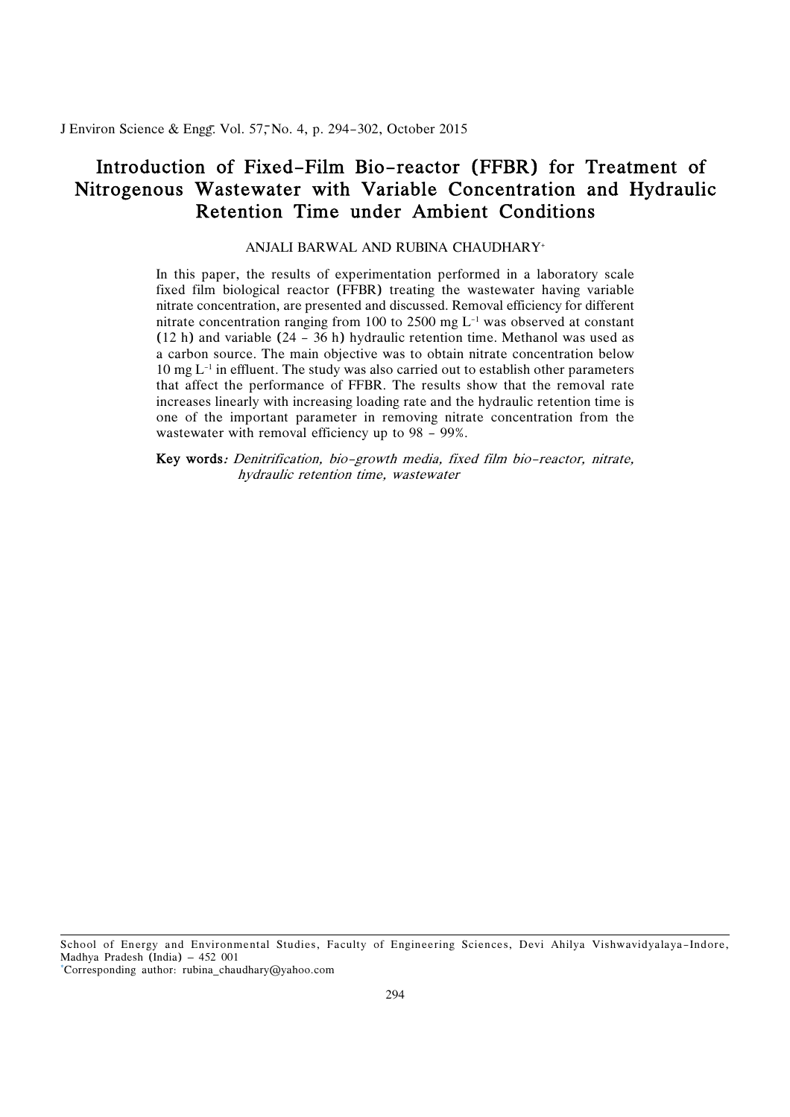<span id="page-13-0"></span>J Environ Science & Engg. Vol. 57, No. 4, p. 294-302, October 2015

# Introduction of Fixed-Film Bio-reactor (FFBR) for Treatment of Nitrogenous Wastewater with Variable Concentration and Hydraulic Retention Time under Ambient Conditions

## ANJALI BARWAL AND RUBINA CHAUDHARY+

 In this paper, the results of experimentation performed in a laboratory scale fixed film biological reactor (FFBR) treating the wastewater having variable nitrate concentration, are presented and discussed. Removal efficiency for different nitrate concentration ranging from 100 to 2500 mg L-1 was observed at constant (12 h) and variable (24 - 36 h) hydraulic retention time. Methanol was used as a carbon source. The main objective was to obtain nitrate concentration below  $10 \text{ mg } L^{-1}$  in effluent. The study was also carried out to establish other parameters that affect the performance of FFBR. The results show that the removal rate increases linearly with increasing loading rate and the hydraulic retention time is one of the important parameter in removing nitrate concentration from the wastewater with removal efficiency up to 98 - 99%.

 Key words: Denitrification, bio-growth media, fixed film bio-reactor, nitrate, hydraulic retention time, wastewater

School of Energy and Environmental Studies, Faculty of Engineering Sciences, Devi Ahilya Vishwavidyalaya–Indore, Madhya Pradesh (India) – 452 001

\*Corresponding author: rubina\_chaudhary@yahoo.com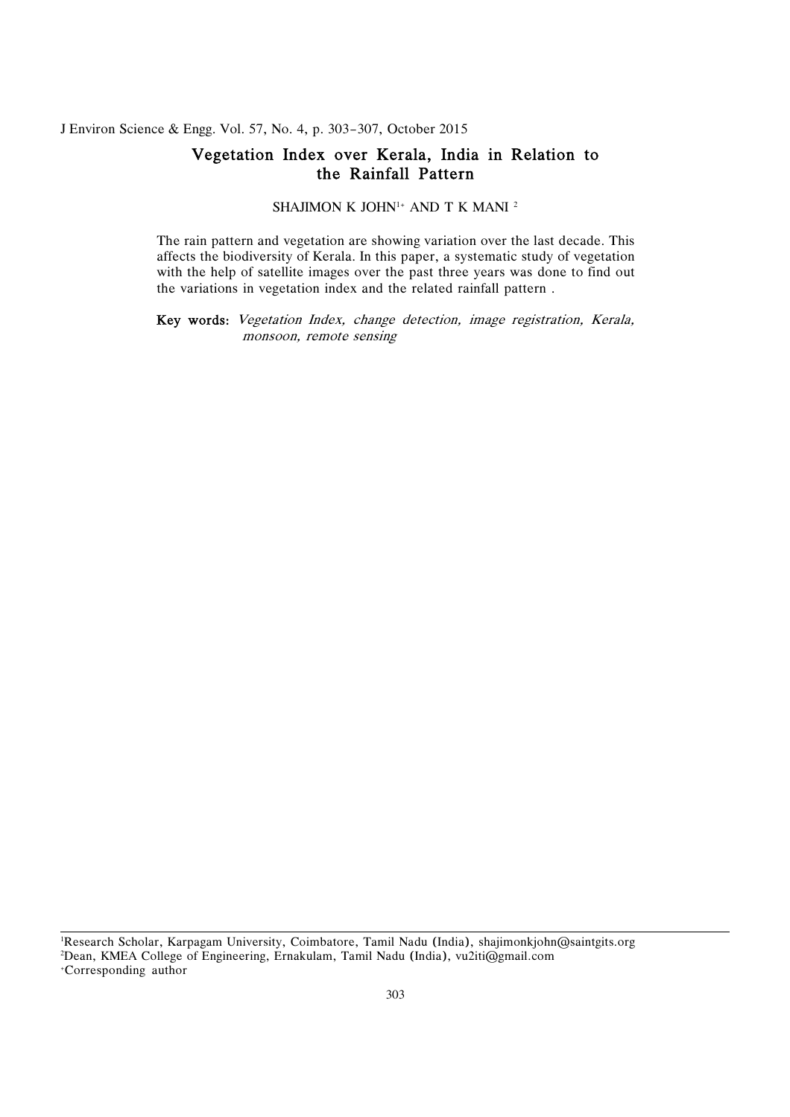J Environ Science & Engg. Vol. 57, No. 4, p. 303-307, October 2015

## Vegetation Index over Kerala, India in Relation to the Rainfall Pattern

SHAJIMON K JOHN<sup>1+</sup> AND T K MANI<sup>2</sup>

 The rain pattern and vegetation are showing variation over the last decade. This affects the biodiversity of Kerala. In this paper, a systematic study of vegetation with the help of satellite images over the past three years was done to find out the variations in vegetation index and the related rainfall pattern .

 Key words: Vegetation Index, change detection, image registration, Kerala, monsoon, remote sensing

 1 Research Scholar, Karpagam University, Coimbatore, Tamil Nadu (India), shajimonkjohn@saintgits.org 2 Dean, KMEA College of Engineering, Ernakulam, Tamil Nadu (India), vu2iti@gmail.com +Corresponding author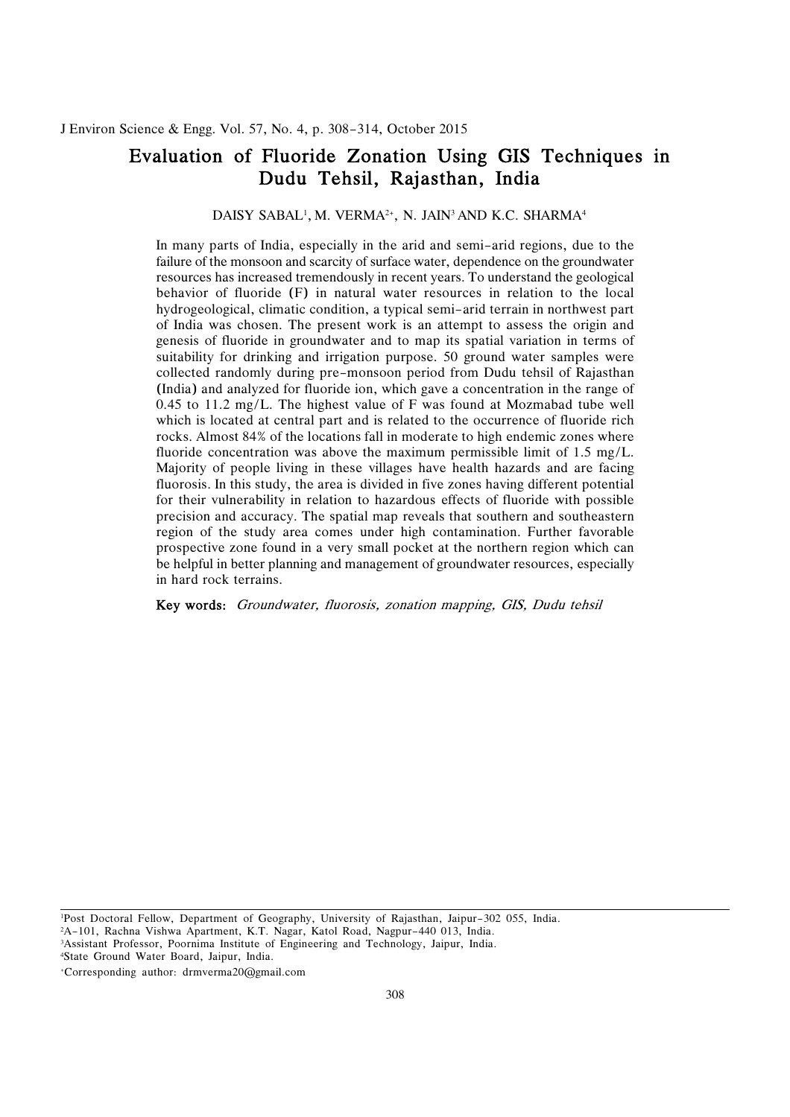# <span id="page-15-0"></span> Evaluation of Fluoride Zonation Using GIS Techniques in Dudu Tehsil, Rajasthan, India

#### DAISY SABAL<sup>1</sup>, M. VERMA<sup>2+</sup>, N. JAIN<sup>3</sup> AND K.C. SHARMA<sup>4</sup>

 In many parts of India, especially in the arid and semi-arid regions, due to the failure of the monsoon and scarcity of surface water, dependence on the groundwater resources has increased tremendously in recent years. To understand the geological behavior of fluoride (F) in natural water resources in relation to the local hydrogeological, climatic condition, a typical semi-arid terrain in northwest part of India was chosen. The present work is an attempt to assess the origin and genesis of fluoride in groundwater and to map its spatial variation in terms of suitability for drinking and irrigation purpose. 50 ground water samples were collected randomly during pre-monsoon period from Dudu tehsil of Rajasthan (India) and analyzed for fluoride ion, which gave a concentration in the range of 0.45 to 11.2 mg/L. The highest value of F was found at Mozmabad tube well which is located at central part and is related to the occurrence of fluoride rich rocks. Almost 84% of the locations fall in moderate to high endemic zones where fluoride concentration was above the maximum permissible limit of 1.5 mg/L. Majority of people living in these villages have health hazards and are facing fluorosis. In this study, the area is divided in five zones having different potential for their vulnerability in relation to hazardous effects of fluoride with possible precision and accuracy. The spatial map reveals that southern and southeastern region of the study area comes under high contamination. Further favorable prospective zone found in a very small pocket at the northern region which can be helpful in better planning and management of groundwater resources, especially in hard rock terrains.

Key words: Groundwater, fluorosis, zonation mapping, GIS, Dudu tehsil

 1 Post Doctoral Fellow, Department of Geography, University of Rajasthan, Jaipur-302 055, India. 2 A-101, Rachna Vishwa Apartment, K.T. Nagar, Katol Road, Nagpur-440 013, India. 3 Assistant Professor, Poornima Institute of Engineering and Technology, Jaipur, India.

4 State Ground Water Board, Jaipur, India.

+Corresponding author: drmverma20@gmail.com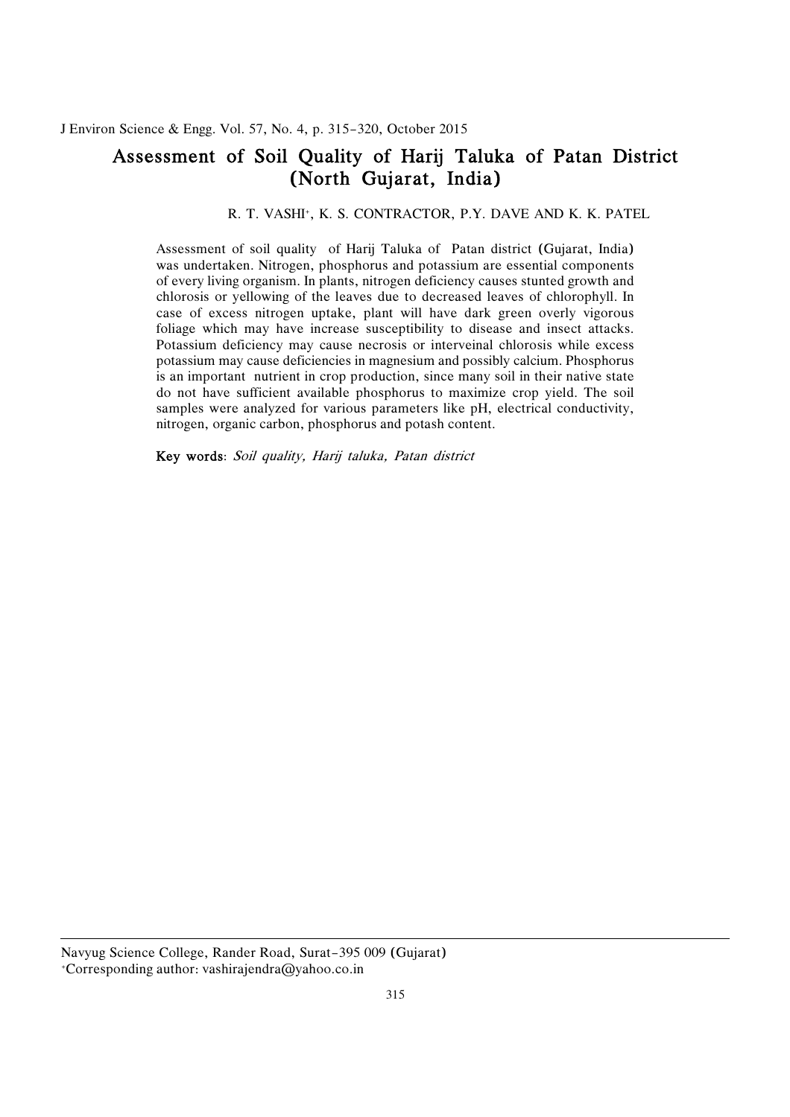# <span id="page-16-0"></span> Assessment of Soil Quality of Harij Taluka of Patan District (North Gujarat, India)

## R. T. VASHI+, K. S. CONTRACTOR, P.Y. DAVE AND K. K. PATEL

 Assessment of soil quality of Harij Taluka of Patan district (Gujarat, India) was undertaken. Nitrogen, phosphorus and potassium are essential components of every living organism. In plants, nitrogen deficiency causes stunted growth and chlorosis or yellowing of the leaves due to decreased leaves of chlorophyll. In case of excess nitrogen uptake, plant will have dark green overly vigorous foliage which may have increase susceptibility to disease and insect attacks. Potassium deficiency may cause necrosis or interveinal chlorosis while excess potassium may cause deficiencies in magnesium and possibly calcium. Phosphorus is an important nutrient in crop production, since many soil in their native state do not have sufficient available phosphorus to maximize crop yield. The soil samples were analyzed for various parameters like pH, electrical conductivity, nitrogen, organic carbon, phosphorus and potash content.

Key words: Soil quality, Harij taluka, Patan district

 Navyug Science College, Rander Road, Surat-395 009 (Gujarat) +Corresponding author: vashirajendra@yahoo.co.in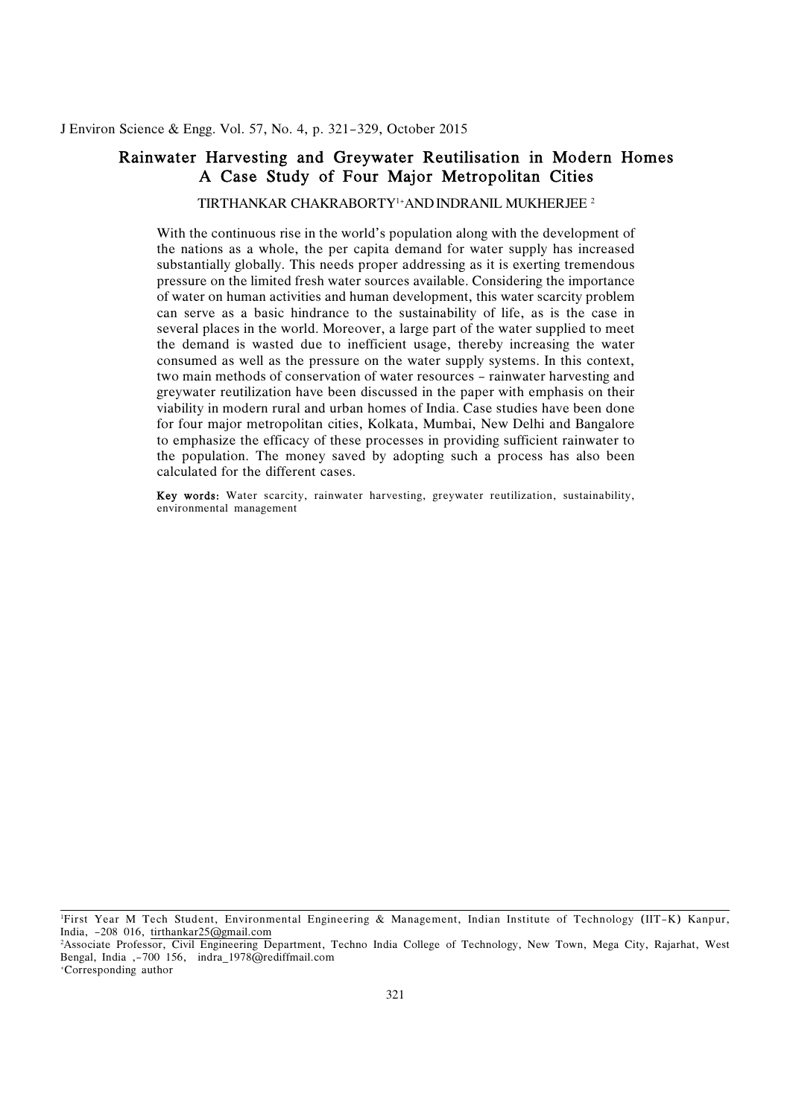## <span id="page-17-0"></span> Rainwater Harvesting and Greywater Reutilisation in Modern Homes A Case Study of Four Major Metropolitan Cities

TIRTHANKAR CHAKRABORTY1+AND INDRANIL MUKHERJEE 2

 With the continuous rise in the world's population along with the development of the nations as a whole, the per capita demand for water supply has increased substantially globally. This needs proper addressing as it is exerting tremendous pressure on the limited fresh water sources available. Considering the importance of water on human activities and human development, this water scarcity problem can serve as a basic hindrance to the sustainability of life, as is the case in several places in the world. Moreover, a large part of the water supplied to meet the demand is wasted due to inefficient usage, thereby increasing the water consumed as well as the pressure on the water supply systems. In this context, two main methods of conservation of water resources - rainwater harvesting and greywater reutilization have been discussed in the paper with emphasis on their viability in modern rural and urban homes of India. Case studies have been done to emphasize the efficacy of these processes in providing sufficient rainwater to the population. The money saved by adopting such a process has also been for four major metropolitan cities, Kolkata, Mumbai, New Delhi and Bangalore calculated for the different cases.

 Key words: Water scarcity, rainwater harvesting, greywater reutilization, sustainability, environmental management

 1 First Year M Tech Student, Environmental Engineering & Management, Indian Institute of Technology (IIT-K) Kanpur, India, -208 016, <u>tirthankar25@gmail.com</u><br><sup>2</sup>Associate Professor, Civil Engineering De

Water Assessment Programme (WWAP)]. It is evident Programme (WWAP)]. It is evident Programme (WWAP)

 Associate Professor, Civil Engineering Department, Techno India College of Technology, New Town, Mega City, Rajarhat, West Bengal, India ,-700 156, indra\_1978@rediffmail.com +Corresponding author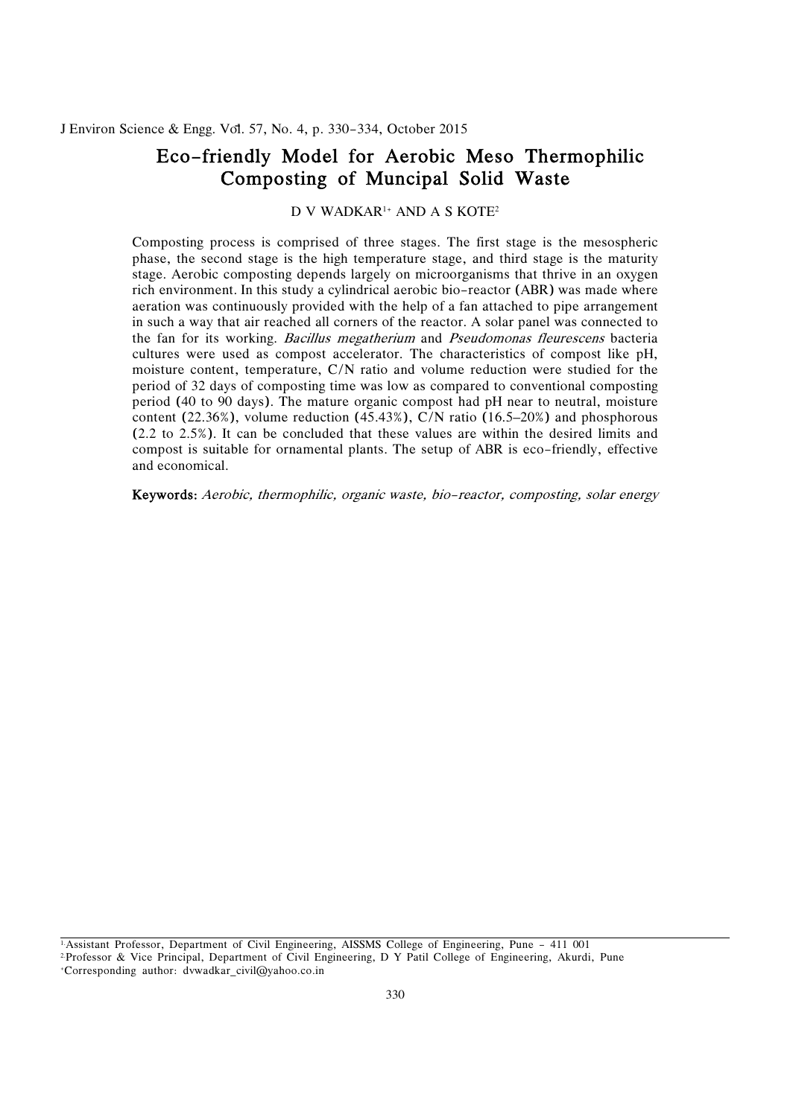# <span id="page-18-0"></span> Eco-friendly Model for Aerobic Meso Thermophilic Composting of Muncipal Solid Waste

D V WADKAR<sup>1+</sup> AND A S KOTE<sup>2</sup>

 Composting process is comprised of three stages. The first stage is the mesospheric phase, the second stage is the high temperature stage, and third stage is the maturity stage. Aerobic composting depends largely on microorganisms that thrive in an oxygen rich environment. In this study a cylindrical aerobic bio-reactor (ABR) was made where aeration was continuously provided with the help of a fan attached to pipe arrangement in such a way that air reached all corners of the reactor. A solar panel was connected to the fan for its working. *Bacillus megatherium* and *Pseudomonas fleurescens* bacteria cultures were used as compost accelerator. The characteristics of compost like pH, moisture content, temperature, C/N ratio and volume reduction were studied for the period of 32 days of composting time was low as compared to conventional composting period (40 to 90 days). The mature organic compost had pH near to neutral, moisture content (22.36%), volume reduction (45.43%), C/N ratio (16.5–20%) and phosphorous (2.2 to 2.5%). It can be concluded that these values are within the desired limits and compost is suitable for ornamental plants. The setup of ABR is eco-friendly, effective and economical.

Keywords: Aerobic, thermophilic, organic waste, bio-reactor, composting, solar energy

1.Assistant Professor, Department of Civil Engineering, AISSMS College of Engineering, Pune - 411 001

 2.Professor & Vice Principal, Department of Civil Engineering, D Y Patil College of Engineering, Akurdi, Pune +Corresponding author: dvwadkar\_civil@yahoo.co.in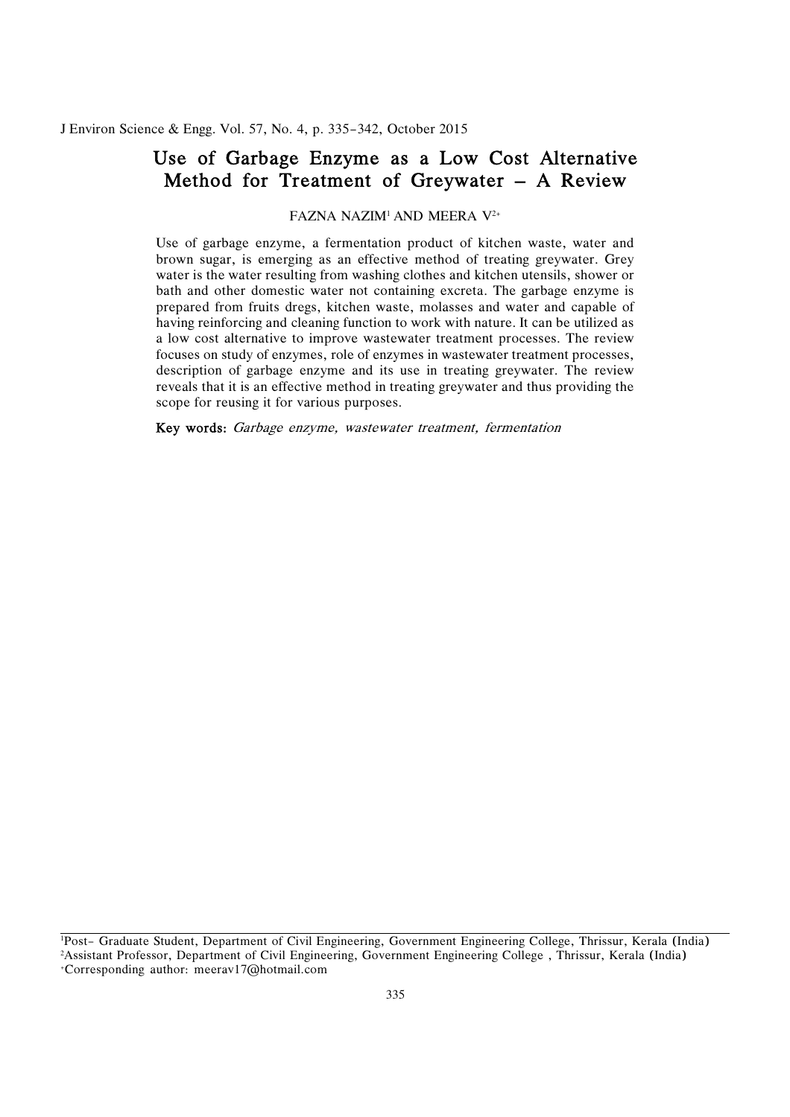# <span id="page-19-0"></span> Use of Garbage Enzyme as a Low Cost Alternative Method for Treatment of Greywater – A Review

FAZNA NAZIM1 AND MEERA V2+

 Use of garbage enzyme, a fermentation product of kitchen waste, water and brown sugar, is emerging as an effective method of treating greywater. Grey water is the water resulting from washing clothes and kitchen utensils, shower or bath and other domestic water not containing excreta. The garbage enzyme is prepared from fruits dregs, kitchen waste, molasses and water and capable of having reinforcing and cleaning function to work with nature. It can be utilized as a low cost alternative to improve wastewater treatment processes. The review focuses on study of enzymes, role of enzymes in wastewater treatment processes, description of garbage enzyme and its use in treating greywater. The review reveals that it is an effective method in treating greywater and thus providing the scope for reusing it for various purposes.

Key words: Garbage enzyme, wastewater treatment, fermentation

 1 Post- Graduate Student, Department of Civil Engineering, Government Engineering College, Thrissur, Kerala (India) +Corresponding author: meerav17@hotmail.com 2 Assistant Professor, Department of Civil Engineering, Government Engineering College , Thrissur, Kerala (India)